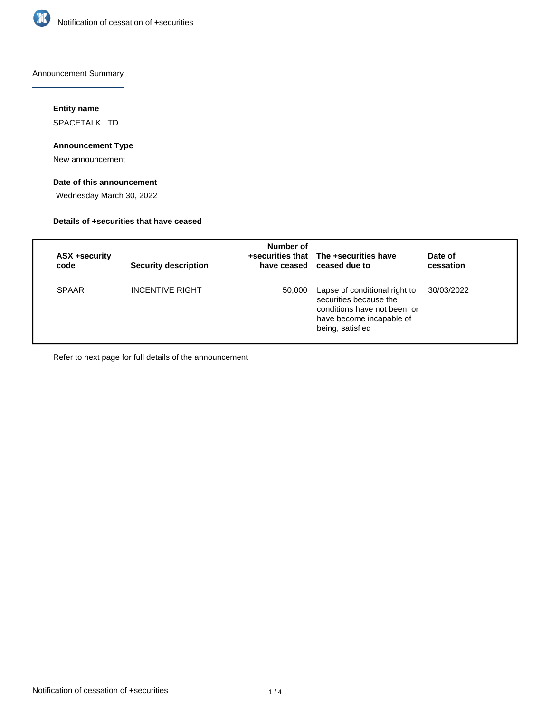

Announcement Summary

## **Entity name**

SPACETALK LTD

# **Announcement Type**

New announcement

# **Date of this announcement**

Wednesday March 30, 2022

#### **Details of +securities that have ceased**

| ASX +security<br>code | <b>Security description</b> | Number of | +securities that The +securities have<br>have ceased ceased due to                                                                      | Date of<br>cessation |
|-----------------------|-----------------------------|-----------|-----------------------------------------------------------------------------------------------------------------------------------------|----------------------|
| <b>SPAAR</b>          | <b>INCENTIVE RIGHT</b>      | 50,000    | Lapse of conditional right to<br>securities because the<br>conditions have not been, or<br>have become incapable of<br>being, satisfied | 30/03/2022           |

Refer to next page for full details of the announcement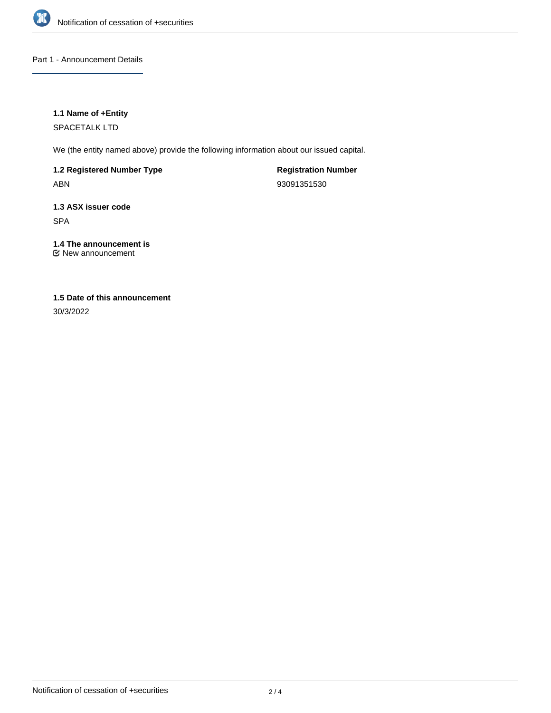

Part 1 - Announcement Details

# **1.1 Name of +Entity**

SPACETALK LTD

We (the entity named above) provide the following information about our issued capital.

**1.2 Registered Number Type**

ABN

**Registration Number** 93091351530

**1.3 ASX issuer code** SPA

**1.4 The announcement is** New announcement

# **1.5 Date of this announcement**

30/3/2022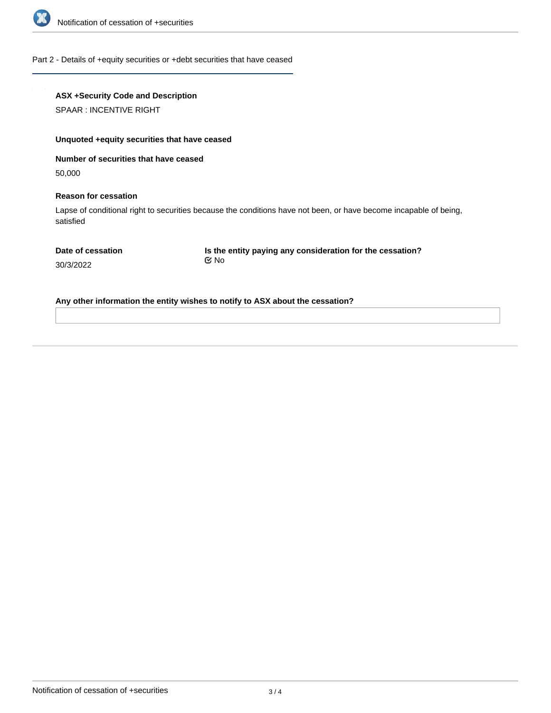

#### Part 2 - Details of +equity securities or +debt securities that have ceased

| <b>ASX +Security Code and Description</b> |
|-------------------------------------------|
|-------------------------------------------|

SPAAR : INCENTIVE RIGHT

#### **Unquoted +equity securities that have ceased**

**Number of securities that have ceased**

50,000

#### **Reason for cessation**

Lapse of conditional right to securities because the conditions have not been, or have become incapable of being, satisfied

**Is the entity paying any consideration for the cessation?** No

30/3/2022

**Any other information the entity wishes to notify to ASX about the cessation?**